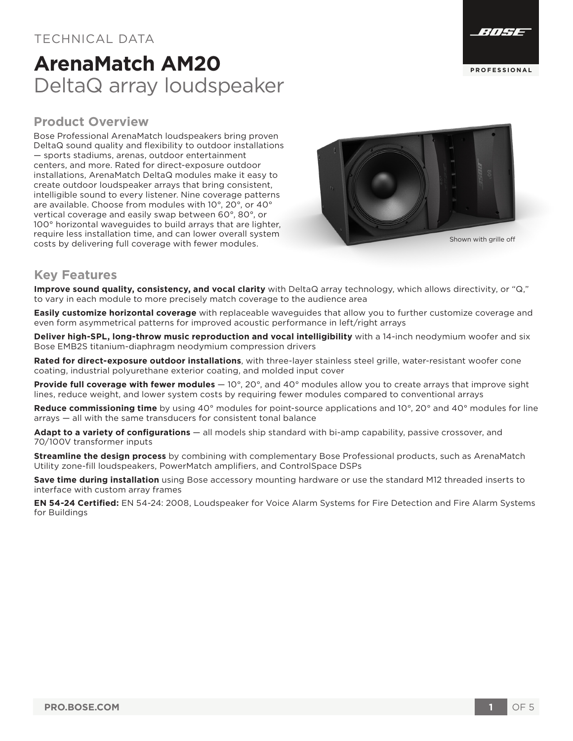### TECHNICAL DATA

# **ArenaMatch AM20** DeltaQ array loudspeaker



### **Product Overview**

Bose Professional ArenaMatch loudspeakers bring proven DeltaQ sound quality and flexibility to outdoor installations — sports stadiums, arenas, outdoor entertainment centers, and more. Rated for direct-exposure outdoor installations, ArenaMatch DeltaQ modules make it easy to create outdoor loudspeaker arrays that bring consistent, intelligible sound to every listener. Nine coverage patterns are available. Choose from modules with 10°, 20°, or 40° vertical coverage and easily swap between 60°, 80°, or 100° horizontal waveguides to build arrays that are lighter, require less installation time, and can lower overall system costs by delivering full coverage with fewer modules. Shown with grille off shown with grille off costs by delivering full coverage with fewer modules.



### **Key Features**

**Improve sound quality, consistency, and vocal clarity** with DeltaQ array technology, which allows directivity, or "Q," to vary in each module to more precisely match coverage to the audience area

**Easily customize horizontal coverage** with replaceable waveguides that allow you to further customize coverage and even form asymmetrical patterns for improved acoustic performance in left/right arrays

**Deliver high-SPL, long-throw music reproduction and vocal intelligibility** with a 14-inch neodymium woofer and six Bose EMB2S titanium-diaphragm neodymium compression drivers

**Rated for direct-exposure outdoor installations**, with three-layer stainless steel grille, water-resistant woofer cone coating, industrial polyurethane exterior coating, and molded input cover

**Provide full coverage with fewer modules** — 10°, 20°, and 40° modules allow you to create arrays that improve sight lines, reduce weight, and lower system costs by requiring fewer modules compared to conventional arrays

**Reduce commissioning time** by using 40° modules for point-source applications and 10°, 20° and 40° modules for line arrays — all with the same transducers for consistent tonal balance

**Adapt to a variety of configurations** — all models ship standard with bi-amp capability, passive crossover, and 70/100V transformer inputs

**Streamline the design process** by combining with complementary Bose Professional products, such as ArenaMatch Utility zone-fill loudspeakers, PowerMatch amplifiers, and ControlSpace DSPs

**Save time during installation** using Bose accessory mounting hardware or use the standard M12 threaded inserts to interface with custom array frames

**EN 54-24 Certified:** EN 54-24: 2008, Loudspeaker for Voice Alarm Systems for Fire Detection and Fire Alarm Systems for Buildings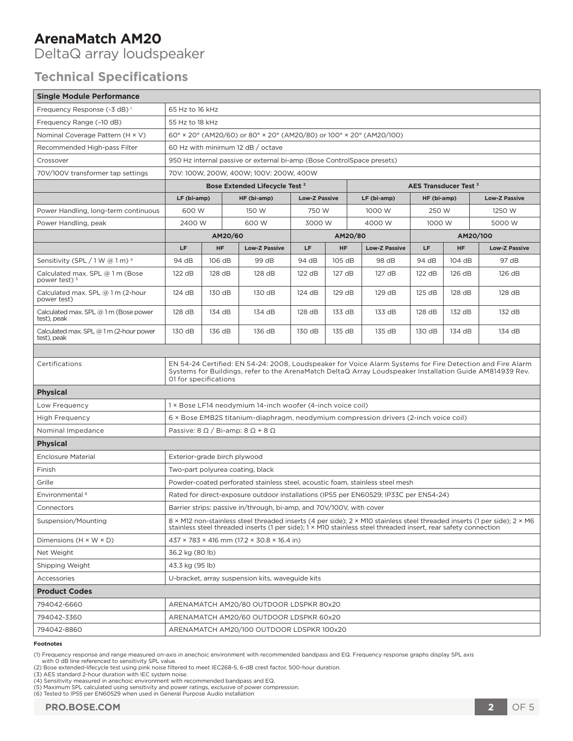DeltaQ array loudspeaker

### **Technical Specifications**

| Frequency Response (-3 dB) <sup>1</sup><br>65 Hz to 16 kHz<br>Frequency Range (-10 dB)<br>55 Hz to 18 kHz<br>Nominal Coverage Pattern (H × V)<br>$60^{\circ}$ × 20 $^{\circ}$ (AM20/60) or 80 $^{\circ}$ × 20 $^{\circ}$ (AM20/80) or 100 $^{\circ}$ × 20 $^{\circ}$ (AM20/100)<br>Recommended High-pass Filter<br>60 Hz with minimum 12 dB / octave<br>950 Hz internal passive or external bi-amp (Bose ControlSpace presets)<br>Crossover<br>70V/100V transformer tap settings<br>70V: 100W, 200W, 400W; 100V: 200W, 400W<br>Bose Extended Lifecycle Test <sup>2</sup><br>AES Transducer Test <sup>3</sup><br>LF (bi-amp)<br><b>Low-Z Passive</b><br>HF (bi-amp)<br>LF (bi-amp)<br>HF (bi-amp)<br><b>Low-Z Passive</b><br>600 W<br>150 W<br>750 W<br>1000 W<br>250 W<br>1250 W<br>Power Handling, long-term continuous<br>2400 W<br>3000 W<br>4000 W<br>1000 W<br>5000 W<br>Power Handling, peak<br>600 W<br>AM20/60<br>AM20/80<br>AM20/100<br>LF.<br>HF<br><b>Low-Z Passive</b><br>LF<br>HF<br><b>Low-Z Passive</b><br>LF.<br>HF<br><b>Low-Z Passive</b><br>Sensitivity (SPL / 1 W @ 1 m) 4<br>106 dB<br>99 dB<br>94 dB<br>105 dB<br>98 dB<br>94 dB<br>104 dB<br>97 dB<br>94 dB<br>Calculated max. SPL @ 1 m (Bose<br>122 dB<br>128 dB<br>128 dB<br>122 dB<br>127 dB<br>127 dB<br>122 dB<br>126 dB<br>126 dB<br>power test) <sup>5</sup><br>Calculated max. SPL @ 1 m (2-hour<br>124 dB<br>130 dB<br>130 dB<br>124 dB<br>129 dB<br>129 dB<br>125 dB<br>128 dB<br>128 dB<br>power test)<br>Calculated max. SPL @ 1 m (Bose power<br>128 dB<br>134 dB<br>134 dB<br>128 dB<br>133 dB<br>133 dB<br>128 dB<br>132 dB<br>132 dB<br>test), peak<br>Calculated max. SPL @ 1 m (2-hour power<br>130 dB<br>136 dB<br>136 dB<br>130 dB<br>135 dB<br>135 dB<br>130 dB<br>134 dB<br>134 dB<br>test), peak<br>EN 54-24 Certified: EN 54-24: 2008, Loudspeaker for Voice Alarm Systems for Fire Detection and Fire Alarm<br>Certifications<br>Systems for Buildings, refer to the ArenaMatch DeltaQ Array Loudspeaker Installation Guide AM814939 Rev.<br>01 for specifications<br><b>Physical</b><br>1 × Bose LF14 neodymium 14-inch woofer (4-inch voice coil)<br>Low Frequency | <b>Single Module Performance</b> |                                                                                      |  |  |  |  |  |  |  |  |  |
|-----------------------------------------------------------------------------------------------------------------------------------------------------------------------------------------------------------------------------------------------------------------------------------------------------------------------------------------------------------------------------------------------------------------------------------------------------------------------------------------------------------------------------------------------------------------------------------------------------------------------------------------------------------------------------------------------------------------------------------------------------------------------------------------------------------------------------------------------------------------------------------------------------------------------------------------------------------------------------------------------------------------------------------------------------------------------------------------------------------------------------------------------------------------------------------------------------------------------------------------------------------------------------------------------------------------------------------------------------------------------------------------------------------------------------------------------------------------------------------------------------------------------------------------------------------------------------------------------------------------------------------------------------------------------------------------------------------------------------------------------------------------------------------------------------------------------------------------------------------------------------------------------------------------------------------------------------------------------------------------------------------------------------------------------------------------------------------------------------------------------------------------------------------------------|----------------------------------|--------------------------------------------------------------------------------------|--|--|--|--|--|--|--|--|--|
|                                                                                                                                                                                                                                                                                                                                                                                                                                                                                                                                                                                                                                                                                                                                                                                                                                                                                                                                                                                                                                                                                                                                                                                                                                                                                                                                                                                                                                                                                                                                                                                                                                                                                                                                                                                                                                                                                                                                                                                                                                                                                                                                                                       |                                  |                                                                                      |  |  |  |  |  |  |  |  |  |
|                                                                                                                                                                                                                                                                                                                                                                                                                                                                                                                                                                                                                                                                                                                                                                                                                                                                                                                                                                                                                                                                                                                                                                                                                                                                                                                                                                                                                                                                                                                                                                                                                                                                                                                                                                                                                                                                                                                                                                                                                                                                                                                                                                       |                                  |                                                                                      |  |  |  |  |  |  |  |  |  |
|                                                                                                                                                                                                                                                                                                                                                                                                                                                                                                                                                                                                                                                                                                                                                                                                                                                                                                                                                                                                                                                                                                                                                                                                                                                                                                                                                                                                                                                                                                                                                                                                                                                                                                                                                                                                                                                                                                                                                                                                                                                                                                                                                                       |                                  |                                                                                      |  |  |  |  |  |  |  |  |  |
|                                                                                                                                                                                                                                                                                                                                                                                                                                                                                                                                                                                                                                                                                                                                                                                                                                                                                                                                                                                                                                                                                                                                                                                                                                                                                                                                                                                                                                                                                                                                                                                                                                                                                                                                                                                                                                                                                                                                                                                                                                                                                                                                                                       |                                  |                                                                                      |  |  |  |  |  |  |  |  |  |
|                                                                                                                                                                                                                                                                                                                                                                                                                                                                                                                                                                                                                                                                                                                                                                                                                                                                                                                                                                                                                                                                                                                                                                                                                                                                                                                                                                                                                                                                                                                                                                                                                                                                                                                                                                                                                                                                                                                                                                                                                                                                                                                                                                       |                                  |                                                                                      |  |  |  |  |  |  |  |  |  |
|                                                                                                                                                                                                                                                                                                                                                                                                                                                                                                                                                                                                                                                                                                                                                                                                                                                                                                                                                                                                                                                                                                                                                                                                                                                                                                                                                                                                                                                                                                                                                                                                                                                                                                                                                                                                                                                                                                                                                                                                                                                                                                                                                                       |                                  |                                                                                      |  |  |  |  |  |  |  |  |  |
|                                                                                                                                                                                                                                                                                                                                                                                                                                                                                                                                                                                                                                                                                                                                                                                                                                                                                                                                                                                                                                                                                                                                                                                                                                                                                                                                                                                                                                                                                                                                                                                                                                                                                                                                                                                                                                                                                                                                                                                                                                                                                                                                                                       |                                  |                                                                                      |  |  |  |  |  |  |  |  |  |
|                                                                                                                                                                                                                                                                                                                                                                                                                                                                                                                                                                                                                                                                                                                                                                                                                                                                                                                                                                                                                                                                                                                                                                                                                                                                                                                                                                                                                                                                                                                                                                                                                                                                                                                                                                                                                                                                                                                                                                                                                                                                                                                                                                       |                                  |                                                                                      |  |  |  |  |  |  |  |  |  |
|                                                                                                                                                                                                                                                                                                                                                                                                                                                                                                                                                                                                                                                                                                                                                                                                                                                                                                                                                                                                                                                                                                                                                                                                                                                                                                                                                                                                                                                                                                                                                                                                                                                                                                                                                                                                                                                                                                                                                                                                                                                                                                                                                                       |                                  |                                                                                      |  |  |  |  |  |  |  |  |  |
|                                                                                                                                                                                                                                                                                                                                                                                                                                                                                                                                                                                                                                                                                                                                                                                                                                                                                                                                                                                                                                                                                                                                                                                                                                                                                                                                                                                                                                                                                                                                                                                                                                                                                                                                                                                                                                                                                                                                                                                                                                                                                                                                                                       |                                  |                                                                                      |  |  |  |  |  |  |  |  |  |
|                                                                                                                                                                                                                                                                                                                                                                                                                                                                                                                                                                                                                                                                                                                                                                                                                                                                                                                                                                                                                                                                                                                                                                                                                                                                                                                                                                                                                                                                                                                                                                                                                                                                                                                                                                                                                                                                                                                                                                                                                                                                                                                                                                       |                                  |                                                                                      |  |  |  |  |  |  |  |  |  |
|                                                                                                                                                                                                                                                                                                                                                                                                                                                                                                                                                                                                                                                                                                                                                                                                                                                                                                                                                                                                                                                                                                                                                                                                                                                                                                                                                                                                                                                                                                                                                                                                                                                                                                                                                                                                                                                                                                                                                                                                                                                                                                                                                                       |                                  |                                                                                      |  |  |  |  |  |  |  |  |  |
|                                                                                                                                                                                                                                                                                                                                                                                                                                                                                                                                                                                                                                                                                                                                                                                                                                                                                                                                                                                                                                                                                                                                                                                                                                                                                                                                                                                                                                                                                                                                                                                                                                                                                                                                                                                                                                                                                                                                                                                                                                                                                                                                                                       |                                  |                                                                                      |  |  |  |  |  |  |  |  |  |
|                                                                                                                                                                                                                                                                                                                                                                                                                                                                                                                                                                                                                                                                                                                                                                                                                                                                                                                                                                                                                                                                                                                                                                                                                                                                                                                                                                                                                                                                                                                                                                                                                                                                                                                                                                                                                                                                                                                                                                                                                                                                                                                                                                       |                                  |                                                                                      |  |  |  |  |  |  |  |  |  |
|                                                                                                                                                                                                                                                                                                                                                                                                                                                                                                                                                                                                                                                                                                                                                                                                                                                                                                                                                                                                                                                                                                                                                                                                                                                                                                                                                                                                                                                                                                                                                                                                                                                                                                                                                                                                                                                                                                                                                                                                                                                                                                                                                                       |                                  |                                                                                      |  |  |  |  |  |  |  |  |  |
|                                                                                                                                                                                                                                                                                                                                                                                                                                                                                                                                                                                                                                                                                                                                                                                                                                                                                                                                                                                                                                                                                                                                                                                                                                                                                                                                                                                                                                                                                                                                                                                                                                                                                                                                                                                                                                                                                                                                                                                                                                                                                                                                                                       |                                  |                                                                                      |  |  |  |  |  |  |  |  |  |
|                                                                                                                                                                                                                                                                                                                                                                                                                                                                                                                                                                                                                                                                                                                                                                                                                                                                                                                                                                                                                                                                                                                                                                                                                                                                                                                                                                                                                                                                                                                                                                                                                                                                                                                                                                                                                                                                                                                                                                                                                                                                                                                                                                       |                                  |                                                                                      |  |  |  |  |  |  |  |  |  |
|                                                                                                                                                                                                                                                                                                                                                                                                                                                                                                                                                                                                                                                                                                                                                                                                                                                                                                                                                                                                                                                                                                                                                                                                                                                                                                                                                                                                                                                                                                                                                                                                                                                                                                                                                                                                                                                                                                                                                                                                                                                                                                                                                                       |                                  |                                                                                      |  |  |  |  |  |  |  |  |  |
|                                                                                                                                                                                                                                                                                                                                                                                                                                                                                                                                                                                                                                                                                                                                                                                                                                                                                                                                                                                                                                                                                                                                                                                                                                                                                                                                                                                                                                                                                                                                                                                                                                                                                                                                                                                                                                                                                                                                                                                                                                                                                                                                                                       |                                  |                                                                                      |  |  |  |  |  |  |  |  |  |
|                                                                                                                                                                                                                                                                                                                                                                                                                                                                                                                                                                                                                                                                                                                                                                                                                                                                                                                                                                                                                                                                                                                                                                                                                                                                                                                                                                                                                                                                                                                                                                                                                                                                                                                                                                                                                                                                                                                                                                                                                                                                                                                                                                       |                                  |                                                                                      |  |  |  |  |  |  |  |  |  |
|                                                                                                                                                                                                                                                                                                                                                                                                                                                                                                                                                                                                                                                                                                                                                                                                                                                                                                                                                                                                                                                                                                                                                                                                                                                                                                                                                                                                                                                                                                                                                                                                                                                                                                                                                                                                                                                                                                                                                                                                                                                                                                                                                                       |                                  |                                                                                      |  |  |  |  |  |  |  |  |  |
|                                                                                                                                                                                                                                                                                                                                                                                                                                                                                                                                                                                                                                                                                                                                                                                                                                                                                                                                                                                                                                                                                                                                                                                                                                                                                                                                                                                                                                                                                                                                                                                                                                                                                                                                                                                                                                                                                                                                                                                                                                                                                                                                                                       | <b>High Frequency</b>            | 6 × Bose EMB2S titanium-diaphragm, neodymium compression drivers (2-inch voice coil) |  |  |  |  |  |  |  |  |  |
| Nominal Impedance<br>Passive: $8 \Omega / Bi$ -amp: $8 \Omega + 8 \Omega$                                                                                                                                                                                                                                                                                                                                                                                                                                                                                                                                                                                                                                                                                                                                                                                                                                                                                                                                                                                                                                                                                                                                                                                                                                                                                                                                                                                                                                                                                                                                                                                                                                                                                                                                                                                                                                                                                                                                                                                                                                                                                             |                                  |                                                                                      |  |  |  |  |  |  |  |  |  |
| <b>Physical</b>                                                                                                                                                                                                                                                                                                                                                                                                                                                                                                                                                                                                                                                                                                                                                                                                                                                                                                                                                                                                                                                                                                                                                                                                                                                                                                                                                                                                                                                                                                                                                                                                                                                                                                                                                                                                                                                                                                                                                                                                                                                                                                                                                       |                                  |                                                                                      |  |  |  |  |  |  |  |  |  |
| <b>Enclosure Material</b><br>Exterior-grade birch plywood                                                                                                                                                                                                                                                                                                                                                                                                                                                                                                                                                                                                                                                                                                                                                                                                                                                                                                                                                                                                                                                                                                                                                                                                                                                                                                                                                                                                                                                                                                                                                                                                                                                                                                                                                                                                                                                                                                                                                                                                                                                                                                             |                                  |                                                                                      |  |  |  |  |  |  |  |  |  |
| Finish<br>Two-part polyurea coating, black                                                                                                                                                                                                                                                                                                                                                                                                                                                                                                                                                                                                                                                                                                                                                                                                                                                                                                                                                                                                                                                                                                                                                                                                                                                                                                                                                                                                                                                                                                                                                                                                                                                                                                                                                                                                                                                                                                                                                                                                                                                                                                                            |                                  |                                                                                      |  |  |  |  |  |  |  |  |  |
| Grille<br>Powder-coated perforated stainless steel, acoustic foam, stainless steel mesh                                                                                                                                                                                                                                                                                                                                                                                                                                                                                                                                                                                                                                                                                                                                                                                                                                                                                                                                                                                                                                                                                                                                                                                                                                                                                                                                                                                                                                                                                                                                                                                                                                                                                                                                                                                                                                                                                                                                                                                                                                                                               |                                  |                                                                                      |  |  |  |  |  |  |  |  |  |
| Environmental <sup>6</sup><br>Rated for direct-exposure outdoor installations (IP55 per EN60529; IP33C per EN54-24)                                                                                                                                                                                                                                                                                                                                                                                                                                                                                                                                                                                                                                                                                                                                                                                                                                                                                                                                                                                                                                                                                                                                                                                                                                                                                                                                                                                                                                                                                                                                                                                                                                                                                                                                                                                                                                                                                                                                                                                                                                                   |                                  |                                                                                      |  |  |  |  |  |  |  |  |  |
| Connectors<br>Barrier strips: passive in/through, bi-amp, and 70V/100V, with cover                                                                                                                                                                                                                                                                                                                                                                                                                                                                                                                                                                                                                                                                                                                                                                                                                                                                                                                                                                                                                                                                                                                                                                                                                                                                                                                                                                                                                                                                                                                                                                                                                                                                                                                                                                                                                                                                                                                                                                                                                                                                                    |                                  |                                                                                      |  |  |  |  |  |  |  |  |  |
| Suspension/Mounting<br>8 × M12 non-stainless steel threaded inserts (4 per side); 2 × M10 stainless steel threaded inserts (1 per side); 2 × M6<br>stainless steel threaded inserts (1 per side); 1 × M10 stainless steel threaded insert, rear safety connection                                                                                                                                                                                                                                                                                                                                                                                                                                                                                                                                                                                                                                                                                                                                                                                                                                                                                                                                                                                                                                                                                                                                                                                                                                                                                                                                                                                                                                                                                                                                                                                                                                                                                                                                                                                                                                                                                                     |                                  |                                                                                      |  |  |  |  |  |  |  |  |  |
| Dimensions $(H \times W \times D)$<br>437 × 783 × 416 mm (17.2 × 30.8 × 16.4 in)                                                                                                                                                                                                                                                                                                                                                                                                                                                                                                                                                                                                                                                                                                                                                                                                                                                                                                                                                                                                                                                                                                                                                                                                                                                                                                                                                                                                                                                                                                                                                                                                                                                                                                                                                                                                                                                                                                                                                                                                                                                                                      |                                  |                                                                                      |  |  |  |  |  |  |  |  |  |
| Net Weight<br>36.2 kg (80 lb)                                                                                                                                                                                                                                                                                                                                                                                                                                                                                                                                                                                                                                                                                                                                                                                                                                                                                                                                                                                                                                                                                                                                                                                                                                                                                                                                                                                                                                                                                                                                                                                                                                                                                                                                                                                                                                                                                                                                                                                                                                                                                                                                         |                                  |                                                                                      |  |  |  |  |  |  |  |  |  |
| Shipping Weight<br>43.3 kg (95 lb)                                                                                                                                                                                                                                                                                                                                                                                                                                                                                                                                                                                                                                                                                                                                                                                                                                                                                                                                                                                                                                                                                                                                                                                                                                                                                                                                                                                                                                                                                                                                                                                                                                                                                                                                                                                                                                                                                                                                                                                                                                                                                                                                    |                                  |                                                                                      |  |  |  |  |  |  |  |  |  |
| Accessories<br>U-bracket, array suspension kits, waveguide kits                                                                                                                                                                                                                                                                                                                                                                                                                                                                                                                                                                                                                                                                                                                                                                                                                                                                                                                                                                                                                                                                                                                                                                                                                                                                                                                                                                                                                                                                                                                                                                                                                                                                                                                                                                                                                                                                                                                                                                                                                                                                                                       |                                  |                                                                                      |  |  |  |  |  |  |  |  |  |
| <b>Product Codes</b>                                                                                                                                                                                                                                                                                                                                                                                                                                                                                                                                                                                                                                                                                                                                                                                                                                                                                                                                                                                                                                                                                                                                                                                                                                                                                                                                                                                                                                                                                                                                                                                                                                                                                                                                                                                                                                                                                                                                                                                                                                                                                                                                                  |                                  |                                                                                      |  |  |  |  |  |  |  |  |  |
| 794042-6660<br>ARENAMATCH AM20/80 OUTDOOR LDSPKR 80x20                                                                                                                                                                                                                                                                                                                                                                                                                                                                                                                                                                                                                                                                                                                                                                                                                                                                                                                                                                                                                                                                                                                                                                                                                                                                                                                                                                                                                                                                                                                                                                                                                                                                                                                                                                                                                                                                                                                                                                                                                                                                                                                |                                  |                                                                                      |  |  |  |  |  |  |  |  |  |
| 794042-3360<br>ARENAMATCH AM20/60 OUTDOOR LDSPKR 60x20                                                                                                                                                                                                                                                                                                                                                                                                                                                                                                                                                                                                                                                                                                                                                                                                                                                                                                                                                                                                                                                                                                                                                                                                                                                                                                                                                                                                                                                                                                                                                                                                                                                                                                                                                                                                                                                                                                                                                                                                                                                                                                                |                                  |                                                                                      |  |  |  |  |  |  |  |  |  |
| 794042-8860<br>ARENAMATCH AM20/100 OUTDOOR LDSPKR 100x20                                                                                                                                                                                                                                                                                                                                                                                                                                                                                                                                                                                                                                                                                                                                                                                                                                                                                                                                                                                                                                                                                                                                                                                                                                                                                                                                                                                                                                                                                                                                                                                                                                                                                                                                                                                                                                                                                                                                                                                                                                                                                                              |                                  |                                                                                      |  |  |  |  |  |  |  |  |  |

#### **Footnotes**

<sup>(1)</sup> Frequency response and range measured on-axis in anechoic environment with recommended bandpass and EQ. Frequency response graphs display SPL axis<br>with 0 dB line referenced to sensitivity SPL value.<br>(2) Bose extended-l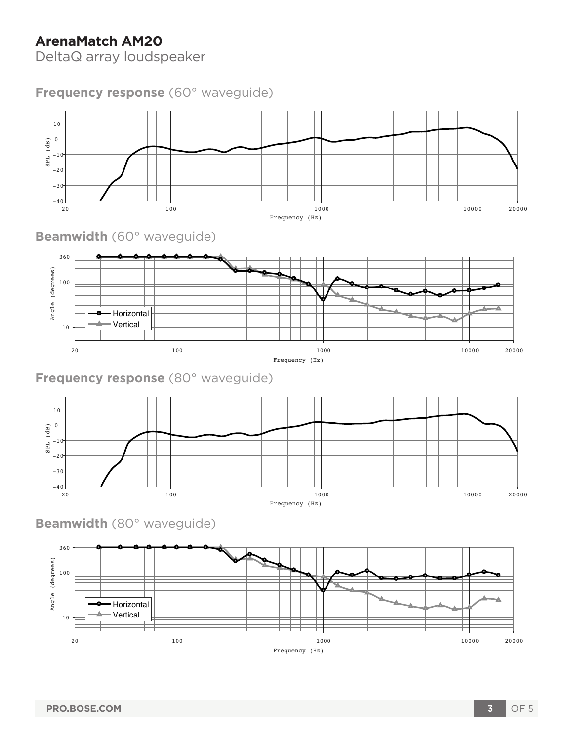DeltaQ array loudspeaker

## **Frequency response** (60° waveguide)



**Beamwidth** (60° waveguide)



### **Frequency response** (80° waveguide)



**Beamwidth** (80° waveguide)

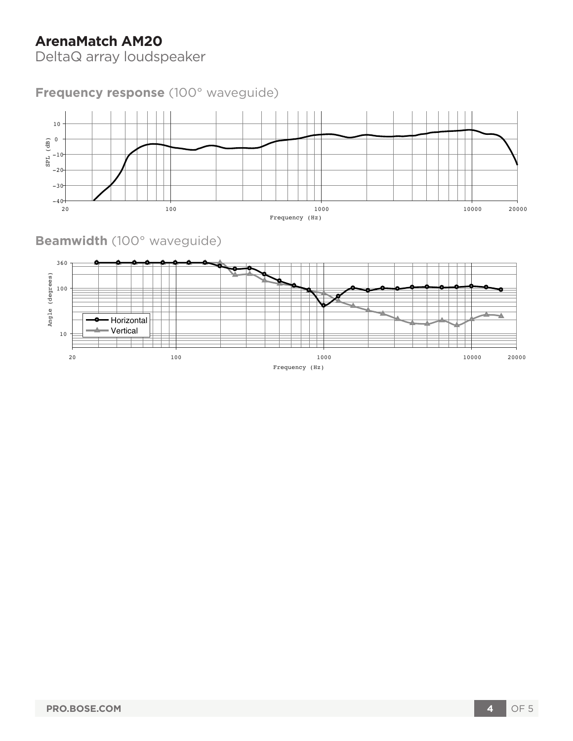DeltaQ array loudspeaker

**Frequency response** (100° waveguide)



**Beamwidth** (100° waveguide)